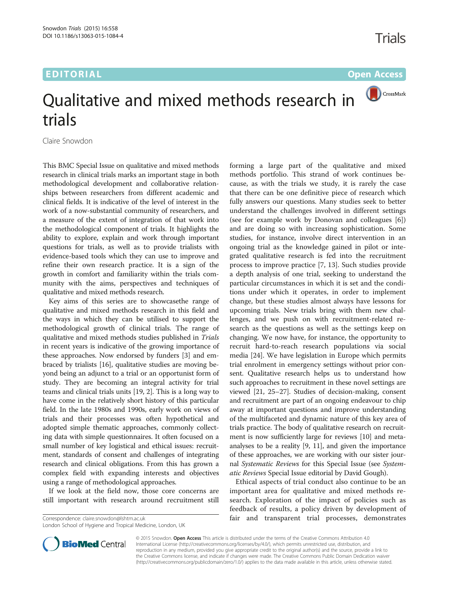# EDITORIAL CONTRACT CONTRACT CONTRACT CONTRACT CONTRACT CONTRACT CONTRACT CONTRACT CONTRACT CONTRACT CONTRACT CO



# Qualitative and mixed methods research in trials

Claire Snowdon

This BMC Special Issue on qualitative and mixed methods research in clinical trials marks an important stage in both methodological development and collaborative relationships between researchers from different academic and clinical fields. It is indicative of the level of interest in the work of a now-substantial community of researchers, and a measure of the extent of integration of that work into the methodological component of trials. It highlights the ability to explore, explain and work through important questions for trials, as well as to provide trialists with evidence-based tools which they can use to improve and refine their own research practice. It is a sign of the growth in comfort and familiarity within the trials community with the aims, perspectives and techniques of qualitative and mixed methods research.

Key aims of this series are to showcasethe range of qualitative and mixed methods research in this field and the ways in which they can be utilised to support the methodological growth of clinical trials. The range of qualitative and mixed methods studies published in Trials in recent years is indicative of the growing importance of these approaches. Now endorsed by funders [[3](#page-1-0)] and embraced by trialists [[16\]](#page-2-0), qualitative studies are moving beyond being an adjunct to a trial or an opportunist form of study. They are becoming an integral activity for trial teams and clinical trials units [[19](#page-2-0), [2](#page-1-0)]. This is a long way to have come in the relatively short history of this particular field. In the late 1980s and 1990s, early work on views of trials and their processes was often hypothetical and adopted simple thematic approaches, commonly collecting data with simple questionnaires. It often focused on a small number of key logistical and ethical issues: recruitment, standards of consent and challenges of integrating research and clinical obligations. From this has grown a complex field with expanding interests and objectives using a range of methodological approaches.

If we look at the field now, those core concerns are still important with research around recruitment still

London School of Hygiene and Tropical Medicine, London, UK

forming a large part of the qualitative and mixed methods portfolio. This strand of work continues because, as with the trials we study, it is rarely the case that there can be one definitive piece of research which fully answers our questions. Many studies seek to better understand the challenges involved in different settings (see for example work by Donovan and colleagues [\[6](#page-1-0)]) and are doing so with increasing sophistication. Some studies, for instance, involve direct intervention in an ongoing trial as the knowledge gained in pilot or integrated qualitative research is fed into the recruitment process to improve practice [[7,](#page-1-0) [13\]](#page-2-0). Such studies provide a depth analysis of one trial, seeking to understand the particular circumstances in which it is set and the conditions under which it operates, in order to implement change, but these studies almost always have lessons for upcoming trials. New trials bring with them new challenges, and we push on with recruitment-related research as the questions as well as the settings keep on changing. We now have, for instance, the opportunity to recruit hard-to-reach research populations via social media [[24](#page-2-0)]. We have legislation in Europe which permits trial enrolment in emergency settings without prior consent. Qualitative research helps us to understand how such approaches to recruitment in these novel settings are viewed [\[21](#page-2-0), [25](#page-2-0)–[27](#page-2-0)]. Studies of decision-making, consent and recruitment are part of an ongoing endeavour to chip away at important questions and improve understanding of the multifaceted and dynamic nature of this key area of trials practice. The body of qualitative research on recruitment is now sufficiently large for reviews [[10](#page-1-0)] and metaanalyses to be a reality [[9](#page-1-0), [11\]](#page-1-0), and given the importance of these approaches, we are working with our sister journal Systematic Reviews for this Special Issue (see Systematic Reviews Special Issue editorial by David Gough).

Ethical aspects of trial conduct also continue to be an important area for qualitative and mixed methods research. Exploration of the impact of policies such as feedback of results, a policy driven by development of Correspondence: [claire.snowdon@lshtm.ac.uk](mailto:claire.snowdon@lshtm.ac.uk) fair and transparent trial processes, demonstrates



© 2015 Snowdon. Open Access This article is distributed under the terms of the Creative Commons Attribution 4.0 International License [\(http://creativecommons.org/licenses/by/4.0/](http://creativecommons.org/licenses/by/4.0/)), which permits unrestricted use, distribution, and reproduction in any medium, provided you give appropriate credit to the original author(s) and the source, provide a link to the Creative Commons license, and indicate if changes were made. The Creative Commons Public Domain Dedication waiver [\(http://creativecommons.org/publicdomain/zero/1.0/](http://creativecommons.org/publicdomain/zero/1.0/)) applies to the data made available in this article, unless otherwise stated.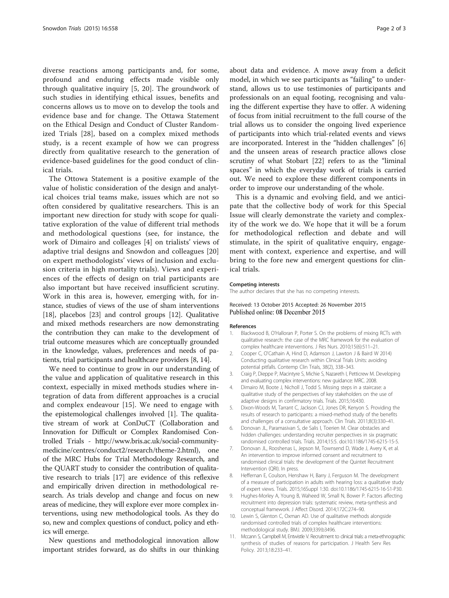<span id="page-1-0"></span>diverse reactions among participants and, for some, profound and enduring effects made visible only through qualitative inquiry [5, [20](#page-2-0)]. The groundwork of such studies in identifying ethical issues, benefits and concerns allows us to move on to develop the tools and evidence base and for change. The Ottawa Statement on the Ethical Design and Conduct of Cluster Randomized Trials [[28\]](#page-2-0), based on a complex mixed methods study, is a recent example of how we can progress directly from qualitative research to the generation of evidence-based guidelines for the good conduct of clinical trials.

The Ottowa Statement is a positive example of the value of holistic consideration of the design and analytical choices trial teams make, issues which are not so often considered by qualitative researchers. This is an important new direction for study with scope for qualitative exploration of the value of different trial methods and methodological questions (see, for instance, the work of Dimairo and colleages [4] on trialists' views of adaptive trial designs and Snowdon and colleagues [\[20](#page-2-0)] on expert methodologists' views of inclusion and exclusion criteria in high mortality trials). Views and experiences of the effects of design on trial participants are also important but have received insufficient scrutiny. Work in this area is, however, emerging with, for instance, studies of views of the use of sham interventions [[18](#page-2-0)], placebos [\[23](#page-2-0)] and control groups [\[12\]](#page-2-0). Qualitative and mixed methods researchers are now demonstrating the contribution they can make to the development of trial outcome measures which are conceptually grounded in the knowledge, values, preferences and needs of patients, trial participants and healthcare providers [8, [14](#page-2-0)].

We need to continue to grow in our understanding of the value and application of qualitative research in this context, especially in mixed methods studies where integration of data from different approaches is a crucial and complex endeavour [[15\]](#page-2-0). We need to engage with the epistemological challenges involved [1]. The qualitative stream of work at ConDuCT (Collaboration and Innovation for Difficult or Complex Randomised Controlled Trials - [http://www.bris.ac.uk/social-community](http://www.bris.ac.uk/social-community-medicine/centres/conduct2/research/theme-2.html)[medicine/centres/conduct2/research/theme-2.html](http://www.bris.ac.uk/social-community-medicine/centres/conduct2/research/theme-2.html)), one of the MRC Hubs for Trial Methodology Research, and the QUART study to consider the contribution of qualitative research to trials [[17\]](#page-2-0) are evidence of this reflexive and empirically driven direction in methodological research. As trials develop and change and focus on new areas of medicine, they will explore ever more complex interventions, using new methodological tools. As they do so, new and complex questions of conduct, policy and ethics will emerge.

New questions and methodological innovation allow important strides forward, as do shifts in our thinking about data and evidence. A move away from a deficit model, in which we see participants as "failing" to understand, allows us to use testimonies of participants and professionals on an equal footing, recognising and valuing the different expertise they have to offer. A widening of focus from initial recruitment to the full course of the trial allows us to consider the ongoing lived experience of participants into which trial-related events and views are incorporated. Interest in the "hidden challenges" [6] and the unseen areas of research practice allows close scrutiny of what Stobart [\[22](#page-2-0)] refers to as the "liminal spaces" in which the everyday work of trials is carried out. We need to explore these different components in order to improve our understanding of the whole.

This is a dynamic and evolving field, and we anticipate that the collective body of work for this Special Issue will clearly demonstrate the variety and complexity of the work we do. We hope that it will be a forum for methodological reflection and debate and will stimulate, in the spirit of qualitative enquiry, engagement with context, experience and expertise, and will bring to the fore new and emergent questions for clinical trials.

The author declares that she has no competing interests.

### Received: 13 October 2015 Accepted: 26 November 2015 Published online: 08 December 2015

#### References

- 1. Blackwood B, O'Halloran P, Porter S. On the problems of mixing RCTs with qualitative research: the case of the MRC framework for the evaluation of complex healthcare interventions. J Res Nurs. 2010;15(6):511–21.
- 2. Cooper C, O'Cathain A, Hind D, Adamson J, Lawton J, & Baird W 2014) Conducting qualitative research within Clinical Trials Units: avoiding potential pitfalls. Contemp Clin Trials, 38(2), 338–343.
- 3. Craig P, Dieppe P, Macintyre S, Michie S, Nazareth I, Petticrew M. Developing and evaluating complex interventions: new guidance: MRC. 2008.
- 4. Dimairo M, Boote J, Nicholl J, Todd S. Missing steps in a staircase: a qualitative study of the perspectives of key stakeholders on the use of adaptive designs in confirmatory trials. Trials. 2015;16:430.
- 5. Dixon-Woods M, Tarrant C, Jackson CJ, Jones DR, Kenyon S. Providing the results of research to participants: a mixed-method study of the benefits and challenges of a consultative approach. Clin Trials. 2011;8(3):330–41.
- 6. Donovan JL, Paramasivan S, de Salis I, Toerien M. Clear obstacles and hidden challenges: understanding recruiter perspectives in six pragmatic randomised controlled trials. Trials. 2014;15:5. doi[:10.1186/1745-6215-15-5](http://dx.doi.org/10.1186/1745-6215-15-5).
- 7. Donovan JL, Rooshenas L, Jepson M, Townsend D, Wade J, Avery K, et al. An intervention to improve informed consent and recruitment to randomised clinical trials: the development of the Quintet Recruitment Intervention (QRI). In press.
- 8. Heffernan E, Coulson, Henshaw H, Barry J, Ferguson M. The development of a measure of participation in adults with hearing loss: a qualitative study of expert views. Trials. 2015;16Suppl 1:30. doi[:10.1186/1745-6215-16-S1-P30.](http://dx.doi.org/10.1186/1745-6215-16-S1-P30)
- 9. Hughes-Morley A, Young B, Waheed W, Small N, Bower P. Factors affecting recruitment into depression trials: systematic review, meta-synthesis and conceptual framework. J Affect Disord. 2014;172C:274–90.
- 10. Lewin S, Glenton C, Oxman AD. Use of qualitative methods alongside randomised controlled trials of complex healthcare interventions: methodological study. BMJ. 2009;339:b3496.
- 11. Mccann S, Campbell M, Entwistle V. Recruitment to clinical trials: a meta-ethnographic synthesis of studies of reasons for participation. J Health Serv Res Policy. 2013;18:233–41.